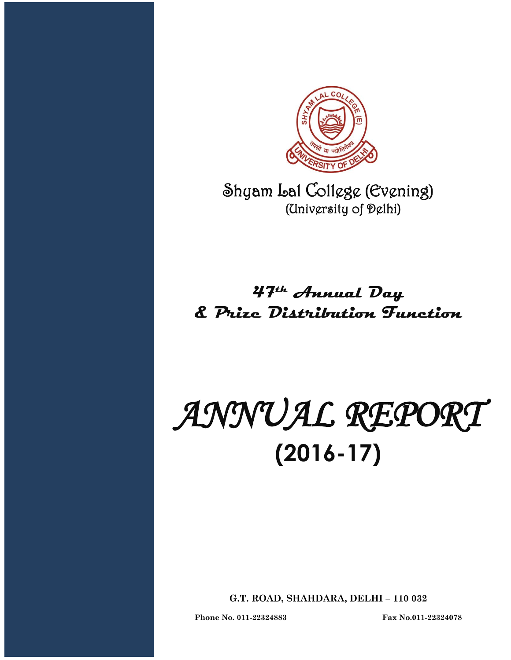

Shyam Lal College (Evening) (University of Delhi)

# **47th Annual Day & Prize Distribution Function**

# *ANNUAL REPORT*  **(2016-17)**

**G.T. ROAD, SHAHDARA, DELHI – 110 032**

**Phone No. 011-22324883 Fax No.011-22324078**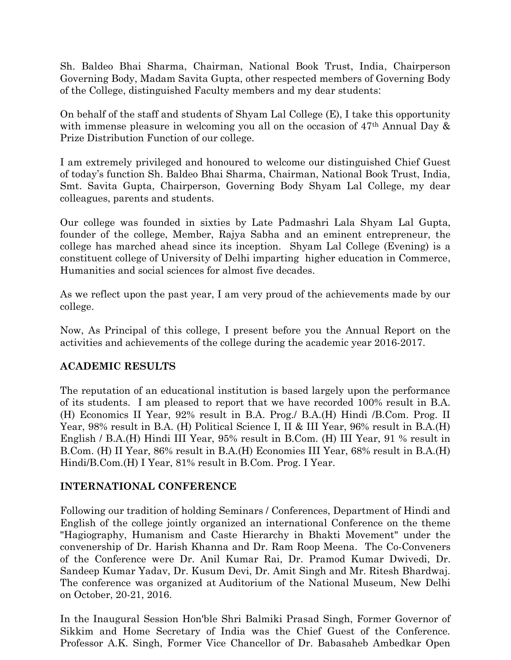Sh. Baldeo Bhai Sharma, Chairman, National Book Trust, India, Chairperson Governing Body, Madam Savita Gupta, other respected members of Governing Body of the College, distinguished Faculty members and my dear students:

On behalf of the staff and students of Shyam Lal College (E), I take this opportunity with immense pleasure in welcoming you all on the occasion of 47<sup>th</sup> Annual Day & Prize Distribution Function of our college.

I am extremely privileged and honoured to welcome our distinguished Chief Guest of today's function Sh. Baldeo Bhai Sharma, Chairman, National Book Trust, India, Smt. Savita Gupta, Chairperson, Governing Body Shyam Lal College, my dear colleagues, parents and students.

Our college was founded in sixties by Late Padmashri Lala Shyam Lal Gupta, founder of the college, Member, Rajya Sabha and an eminent entrepreneur, the college has marched ahead since its inception. Shyam Lal College (Evening) is a constituent college of University of Delhi imparting higher education in Commerce, Humanities and social sciences for almost five decades.

As we reflect upon the past year, I am very proud of the achievements made by our college.

Now, As Principal of this college, I present before you the Annual Report on the activities and achievements of the college during the academic year 2016-2017.

#### **ACADEMIC RESULTS**

The reputation of an educational institution is based largely upon the performance of its students. I am pleased to report that we have recorded 100% result in B.A. (H) Economics II Year, 92% result in B.A. Prog./ B.A.(H) Hindi /B.Com. Prog. II Year, 98% result in B.A. (H) Political Science I, II & III Year, 96% result in B.A.(H) English / B.A.(H) Hindi III Year, 95% result in B.Com. (H) III Year, 91 % result in B.Com. (H) II Year, 86% result in B.A.(H) Economies III Year, 68% result in B.A.(H) Hindi/B.Com.(H) I Year, 81% result in B.Com. Prog. I Year.

#### **INTERNATIONAL CONFERENCE**

Following our tradition of holding Seminars / Conferences, Department of Hindi and English of the college jointly organized an international Conference on the theme "Hagiography, Humanism and Caste Hierarchy in Bhakti Movement" under the convenership of Dr. Harish Khanna and Dr. Ram Roop Meena. The Co-Conveners of the Conference were Dr. Anil Kumar Rai, Dr. Pramod Kumar Dwivedi, Dr. Sandeep Kumar Yadav, Dr. Kusum Devi, Dr. Amit Singh and Mr. Ritesh Bhardwaj. The conference was organized at Auditorium of the National Museum, New Delhi on October, 20-21, 2016.

In the Inaugural Session Hon'ble Shri Balmiki Prasad Singh, Former Governor of Sikkim and Home Secretary of India was the Chief Guest of the Conference. Professor A.K. Singh, Former Vice Chancellor of Dr. Babasaheb Ambedkar Open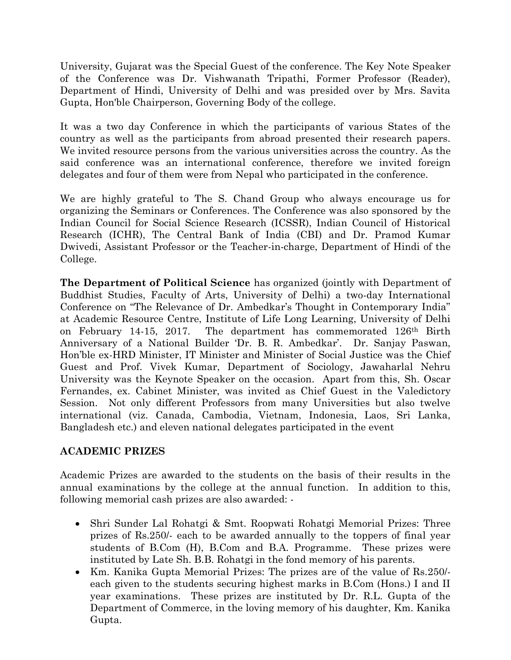University, Gujarat was the Special Guest of the conference. The Key Note Speaker of the Conference was Dr. Vishwanath Tripathi, Former Professor (Reader), Department of Hindi, University of Delhi and was presided over by Mrs. Savita Gupta, Hon'ble Chairperson, Governing Body of the college.

It was a two day Conference in which the participants of various States of the country as well as the participants from abroad presented their research papers. We invited resource persons from the various universities across the country. As the said conference was an international conference, therefore we invited foreign delegates and four of them were from Nepal who participated in the conference.

We are highly grateful to The S. Chand Group who always encourage us for organizing the Seminars or Conferences. The Conference was also sponsored by the Indian Council for Social Science Research (ICSSR), Indian Council of Historical Research (ICHR), The Central Bank of India (CBI) and Dr. Pramod Kumar Dwivedi, Assistant Professor or the Teacher-in-charge, Department of Hindi of the College.

**The Department of Political Science** has organized (jointly with Department of Buddhist Studies, Faculty of Arts, University of Delhi) a two-day International Conference on "The Relevance of Dr. Ambedkar's Thought in Contemporary India" at Academic Resource Centre, Institute of Life Long Learning, University of Delhi on February 14-15, 2017. The department has commemorated 126th Birth Anniversary of a National Builder 'Dr. B. R. Ambedkar'. Dr. Sanjay Paswan, Hon'ble ex-HRD Minister, IT Minister and Minister of Social Justice was the Chief Guest and Prof. Vivek Kumar, Department of Sociology, Jawaharlal Nehru University was the Keynote Speaker on the occasion. Apart from this, Sh. Oscar Fernandes, ex. Cabinet Minister, was invited as Chief Guest in the Valedictory Session. Not only different Professors from many Universities but also twelve international (viz. Canada, Cambodia, Vietnam, Indonesia, Laos, Sri Lanka, Bangladesh etc.) and eleven national delegates participated in the event

#### **ACADEMIC PRIZES**

Academic Prizes are awarded to the students on the basis of their results in the annual examinations by the college at the annual function. In addition to this, following memorial cash prizes are also awarded: -

- Shri Sunder Lal Rohatgi & Smt. Roopwati Rohatgi Memorial Prizes: Three prizes of Rs.250/- each to be awarded annually to the toppers of final year students of B.Com (H), B.Com and B.A. Programme. These prizes were instituted by Late Sh. B.B. Rohatgi in the fond memory of his parents.
- Km. Kanika Gupta Memorial Prizes: The prizes are of the value of Rs.250/ each given to the students securing highest marks in B.Com (Hons.) I and II year examinations. These prizes are instituted by Dr. R.L. Gupta of the Department of Commerce, in the loving memory of his daughter, Km. Kanika Gupta.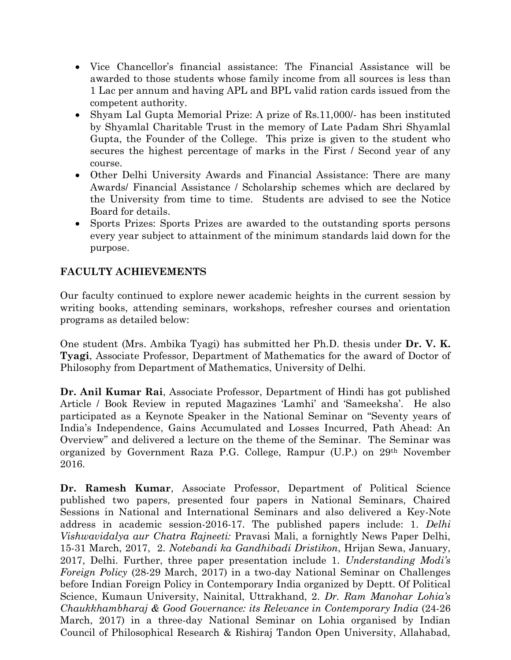- Vice Chancellor's financial assistance: The Financial Assistance will be awarded to those students whose family income from all sources is less than 1 Lac per annum and having APL and BPL valid ration cards issued from the competent authority.
- Shyam Lal Gupta Memorial Prize: A prize of Rs.11,000/- has been instituted by Shyamlal Charitable Trust in the memory of Late Padam Shri Shyamlal Gupta, the Founder of the College. This prize is given to the student who secures the highest percentage of marks in the First / Second year of any course.
- Other Delhi University Awards and Financial Assistance: There are many Awards/ Financial Assistance / Scholarship schemes which are declared by the University from time to time. Students are advised to see the Notice Board for details.
- Sports Prizes: Sports Prizes are awarded to the outstanding sports persons every year subject to attainment of the minimum standards laid down for the purpose.

# **FACULTY ACHIEVEMENTS**

Our faculty continued to explore newer academic heights in the current session by writing books, attending seminars, workshops, refresher courses and orientation programs as detailed below:

One student (Mrs. Ambika Tyagi) has submitted her Ph.D. thesis under **Dr. V. K. Tyagi**, Associate Professor, Department of Mathematics for the award of Doctor of Philosophy from Department of Mathematics, University of Delhi.

**Dr. Anil Kumar Rai**, Associate Professor, Department of Hindi has got published Article / Book Review in reputed Magazines 'Lamhi' and 'Sameeksha'. He also participated as a Keynote Speaker in the National Seminar on "Seventy years of India's Independence, Gains Accumulated and Losses Incurred, Path Ahead: An Overview" and delivered a lecture on the theme of the Seminar. The Seminar was organized by Government Raza P.G. College, Rampur (U.P.) on 29th November 2016.

**Dr. Ramesh Kumar**, Associate Professor, Department of Political Science published two papers, presented four papers in National Seminars, Chaired Sessions in National and International Seminars and also delivered a Key-Note address in academic session-2016-17. The published papers include: 1. *Delhi Vishwavidalya aur Chatra Rajneeti:* Pravasi Mali, a fornightly News Paper Delhi, 15-31 March, 2017, 2. *Notebandi ka Gandhibadi Dristikon*, Hrijan Sewa, January, 2017, Delhi. Further, three paper presentation include 1. *Understanding Modi's Foreign Policy* (28-29 March, 2017) in a two-day National Seminar on Challenges before Indian Foreign Policy in Contemporary India organized by Deptt. Of Political Science, Kumaun University, Nainital, Uttrakhand, 2. *Dr. Ram Manohar Lohia's Chaukkhambharaj & Good Governance: its Relevance in Contemporary India* (24-26 March, 2017) in a three-day National Seminar on Lohia organised by Indian Council of Philosophical Research & Rishiraj Tandon Open University, Allahabad,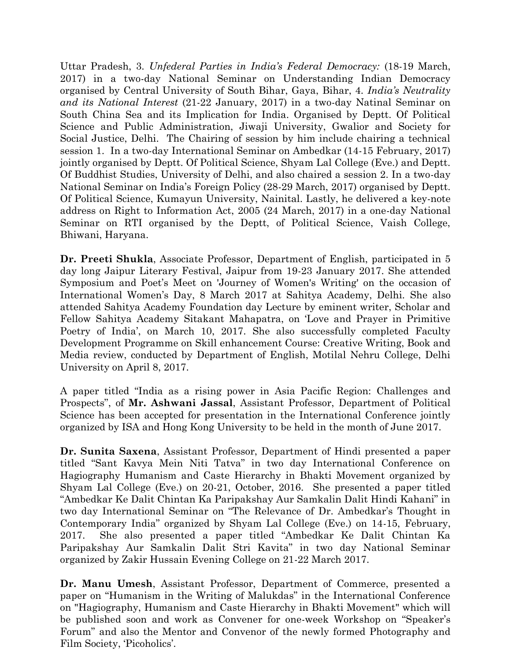Uttar Pradesh, 3. *Unfederal Parties in India's Federal Democracy:* (18-19 March, 2017) in a two-day National Seminar on Understanding Indian Democracy organised by Central University of South Bihar, Gaya, Bihar, 4. *India's Neutrality and its National Interest* (21-22 January, 2017) in a two-day Natinal Seminar on South China Sea and its Implication for India. Organised by Deptt. Of Political Science and Public Administration, Jiwaji University, Gwalior and Society for Social Justice, Delhi. The Chairing of session by him include chairing a technical session 1. In a two-day International Seminar on Ambedkar (14-15 February, 2017) jointly organised by Deptt. Of Political Science, Shyam Lal College (Eve.) and Deptt. Of Buddhist Studies, University of Delhi, and also chaired a session 2. In a two-day National Seminar on India's Foreign Policy (28-29 March, 2017) organised by Deptt. Of Political Science, Kumayun University, Nainital. Lastly, he delivered a key-note address on Right to Information Act, 2005 (24 March, 2017) in a one-day National Seminar on RTI organised by the Deptt, of Political Science, Vaish College, Bhiwani, Haryana.

**Dr. Preeti Shukla**, Associate Professor, Department of English, participated in 5 day long Jaipur Literary Festival, Jaipur from 19-23 January 2017. She attended Symposium and Poet's Meet on 'Journey of Women's Writing' on the occasion of International Women's Day, 8 March 2017 at Sahitya Academy, Delhi. She also attended Sahitya Academy Foundation day Lecture by eminent writer, Scholar and Fellow Sahitya Academy Sitakant Mahapatra, on 'Love and Prayer in Primitive Poetry of India', on March 10, 2017. She also successfully completed Faculty Development Programme on Skill enhancement Course: Creative Writing, Book and Media review, conducted by Department of English, Motilal Nehru College, Delhi University on April 8, 2017.

A paper titled "India as a rising power in Asia Pacific Region: Challenges and Prospects", of **Mr. Ashwani Jassal**, Assistant Professor, Department of Political Science has been accepted for presentation in the International Conference jointly organized by ISA and Hong Kong University to be held in the month of June 2017.

**Dr. Sunita Saxena**, Assistant Professor, Department of Hindi presented a paper titled "Sant Kavya Mein Niti Tatva" in two day International Conference on Hagiography Humanism and Caste Hierarchy in Bhakti Movement organized by Shyam Lal College (Eve.) on 20-21, October, 2016. She presented a paper titled "Ambedkar Ke Dalit Chintan Ka Paripakshay Aur Samkalin Dalit Hindi Kahani" in two day International Seminar on "The Relevance of Dr. Ambedkar's Thought in Contemporary India" organized by Shyam Lal College (Eve.) on 14-15, February, 2017. She also presented a paper titled "Ambedkar Ke Dalit Chintan Ka Paripakshay Aur Samkalin Dalit Stri Kavita" in two day National Seminar organized by Zakir Hussain Evening College on 21-22 March 2017.

**Dr. Manu Umesh**, Assistant Professor, Department of Commerce, presented a paper on "Humanism in the Writing of Malukdas" in the International Conference on "Hagiography, Humanism and Caste Hierarchy in Bhakti Movement" which will be published soon and work as Convener for one-week Workshop on "Speaker's Forum" and also the Mentor and Convenor of the newly formed Photography and Film Society, 'Picoholics'.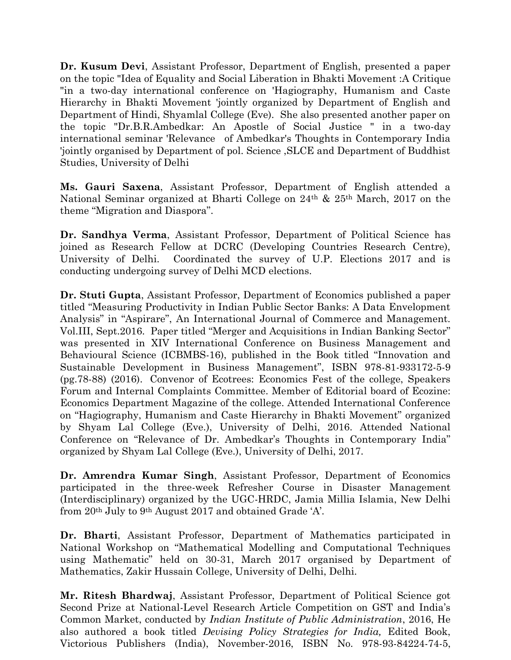**Dr. Kusum Devi**, Assistant Professor, Department of English, presented a paper on the topic "Idea of Equality and Social Liberation in Bhakti Movement :A Critique "in a two-day international conference on 'Hagiography, Humanism and Caste Hierarchy in Bhakti Movement 'jointly organized by Department of English and Department of Hindi, Shyamlal College (Eve). She also presented another paper on the topic "Dr.B.R.Ambedkar: An Apostle of Social Justice " in a two-day international seminar 'Relevance of Ambedkar's Thoughts in Contemporary India 'jointly organised by Department of pol. Science ,SLCE and Department of Buddhist Studies, University of Delhi

**Ms. Gauri Saxena**, Assistant Professor, Department of English attended a National Seminar organized at Bharti College on 24th & 25th March, 2017 on the theme "Migration and Diaspora".

**Dr. Sandhya Verma**, Assistant Professor, Department of Political Science has joined as Research Fellow at DCRC (Developing Countries Research Centre), University of Delhi. Coordinated the survey of U.P. Elections 2017 and is conducting undergoing survey of Delhi MCD elections.

**Dr. Stuti Gupta**, Assistant Professor, Department of Economics published a paper titled "Measuring Productivity in Indian Public Sector Banks: A Data Envelopment Analysis" in "Aspirare", An International Journal of Commerce and Management. Vol.III, Sept.2016. Paper titled "Merger and Acquisitions in Indian Banking Sector" was presented in XIV International Conference on Business Management and Behavioural Science (ICBMBS-16), published in the Book titled "Innovation and Sustainable Development in Business Management", ISBN 978-81-933172-5-9 (pg.78-88) (2016). Convenor of Ecotrees: Economics Fest of the college, Speakers Forum and Internal Complaints Committee. Member of Editorial board of Ecozine: Economics Department Magazine of the college. Attended International Conference on "Hagiography, Humanism and Caste Hierarchy in Bhakti Movement" organized by Shyam Lal College (Eve.), University of Delhi, 2016. Attended National Conference on "Relevance of Dr. Ambedkar's Thoughts in Contemporary India" organized by Shyam Lal College (Eve.), University of Delhi, 2017.

**Dr. Amrendra Kumar Singh**, Assistant Professor, Department of Economics participated in the three-week Refresher Course in Disaster Management (Interdisciplinary) organized by the UGC-HRDC, Jamia Millia Islamia, New Delhi from 20th July to 9th August 2017 and obtained Grade 'A'.

**Dr. Bharti**, Assistant Professor, Department of Mathematics participated in National Workshop on "Mathematical Modelling and Computational Techniques using Mathematic" held on 30-31, March 2017 organised by Department of Mathematics, Zakir Hussain College, University of Delhi, Delhi.

**Mr. Ritesh Bhardwaj**, Assistant Professor, Department of Political Science got Second Prize at National-Level Research Article Competition on GST and India's Common Market, conducted by *Indian Institute of Public Administration*, 2016, He also authored a book titled *Devising Policy Strategies for India,* Edited Book, Victorious Publishers (India), November-2016, ISBN No. 978-93-84224-74-5,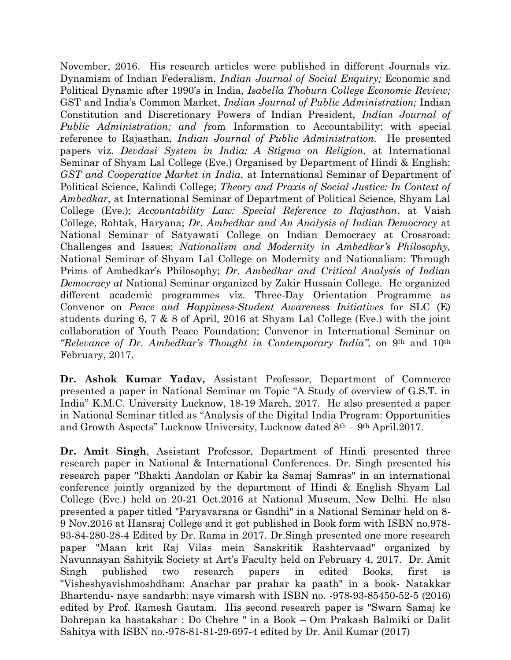November, 2016. His research articles were published in different Journals viz. Dynamism of Indian Federalism, *Indian Journal of Social Enquiry;* Economic and Political Dynamic after 1990's in India, *Isabella Thoburn College Economic Review;*  GST and India's Common Market, *Indian Journal of Public Administration;* Indian Constitution and Discretionary Powers of Indian President, *Indian Journal of Public Administration; and f*rom Information to Accountability: with special reference to Rajasthan, *Indian Journal of Public Administration.* He presented papers viz. *Devdasi System in India: A Stigma on Religion*, at International Seminar of Shyam Lal College (Eve.) Organised by Department of Hindi & English; *GST and Cooperative Market in India*, at International Seminar of Department of Political Science, Kalindi College; *Theory and Praxis of Social Justice: In Context of Ambedkar*, at International Seminar of Department of Political Science, Shyam Lal College (Eve.); *Accountability Law: Special Reference to Rajasthan*, at Vaish College, Rohtak, Haryana; *Dr. Ambedkar and An Analysis of Indian Democracy* at National Seminar of Satyawati College on Indian Democracy at Crossroad: Challenges and Issues; *Nationalism and Modernity in Ambedkar's Philosophy,* National Seminar of Shyam Lal College on Modernity and Nationalism: Through Prims of Ambedkar's Philosophy; *Dr. Ambedkar and Critical Analysis of Indian Democracy at* National Seminar organized by Zakir Hussain College. He organized different academic programmes viz. Three-Day Orientation Programme as Convenor on *Peace and Happiness-Student Awareness Initiatives* for SLC (E) students during 6, 7 & 8 of April, 2016 at Shyam Lal College (Eve.) with the joint collaboration of Youth Peace Foundation; Convenor in International Seminar on *"Relevance of Dr. Ambedkar's Thought in Contemporary India"*, on 9th and 10th February, 2017.

**Dr. Ashok Kumar Yadav,** Assistant Professor, Department of Commerce presented a paper in National Seminar on Topic "A Study of overview of G.S.T. in India" K.M.C. University Lucknow, 18-19 March, 2017. He also presented a paper in National Seminar titled as "Analysis of the Digital India Program: Opportunities and Growth Aspects" Lucknow University, Lucknow dated 8th – 9th April.2017.

**Dr. Amit Singh**, Assistant Professor, Department of Hindi presented three research paper in National & International Conferences. Dr. Singh presented his research paper "Bhakti Aandolan or Kabir ka Samaj Samras" in an international conference jointly organized by the department of Hindi & English Shyam Lal College (Eve.) held on 20-21 Oct.2016 at National Museum, New Delhi. He also presented a paper titled "Paryavarana or Gandhi" in a National Seminar held on 8- 9 Nov.2016 at Hansraj College and it got published in Book form with ISBN no.978- 93-84-280-28-4 Edited by Dr. Rama in 2017. Dr.Singh presented one more research paper "Maan krit Raj Vilas mein Sanskritik Rashtervaad" organized by Navunnayan Sahityik Society at Art's Faculty held on February 4, 2017. Dr. Amit Singh published two research papers in edited Books, first is "Visheshyavishmoshdham: Anachar par prahar ka paath" in a book- Natakkar Bhartendu- naye sandarbh: naye vimarsh with ISBN no. -978-93-85450-52-5 (2016) edited by Prof. Ramesh Gautam. His second research paper is "Swarn Samaj ke Dohrepan ka hastakshar : Do Chehre " in a Book – Om Prakash Balmiki or Dalit Sahitya with ISBN no.-978-81-81-29-697-4 edited by Dr. Anil Kumar (2017)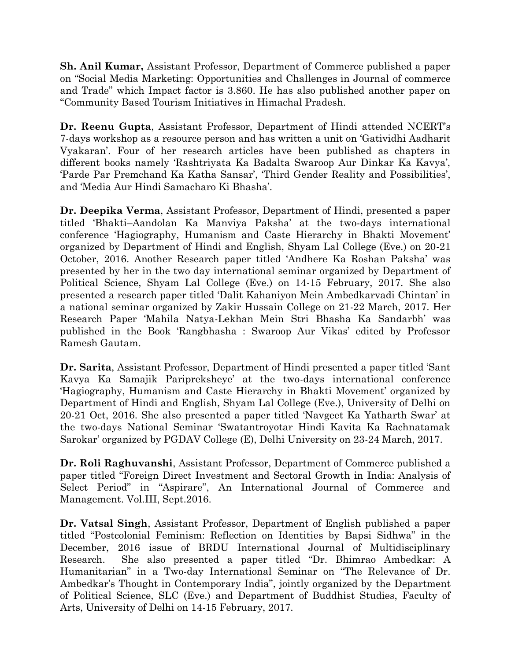**Sh. Anil Kumar,** Assistant Professor, Department of Commerce published a paper on "Social Media Marketing: Opportunities and Challenges in Journal of commerce and Trade" which Impact factor is 3.860. He has also published another paper on "Community Based Tourism Initiatives in Himachal Pradesh.

**Dr. Reenu Gupta**, Assistant Professor, Department of Hindi attended NCERT's 7-days workshop as a resource person and has written a unit on 'Gatividhi Aadharit Vyakaran'. Four of her research articles have been published as chapters in different books namely 'Rashtriyata Ka Badalta Swaroop Aur Dinkar Ka Kavya', 'Parde Par Premchand Ka Katha Sansar', 'Third Gender Reality and Possibilities', and 'Media Aur Hindi Samacharo Ki Bhasha'.

**Dr. Deepika Verma**, Assistant Professor, Department of Hindi, presented a paper titled 'Bhakti–Aandolan Ka Manviya Paksha' at the two-days international conference 'Hagiography, Humanism and Caste Hierarchy in Bhakti Movement' organized by Department of Hindi and English, Shyam Lal College (Eve.) on 20-21 October, 2016. Another Research paper titled 'Andhere Ka Roshan Paksha' was presented by her in the two day international seminar organized by Department of Political Science, Shyam Lal College (Eve.) on 14-15 February, 2017. She also presented a research paper titled 'Dalit Kahaniyon Mein Ambedkarvadi Chintan' in a national seminar organized by Zakir Hussain College on 21-22 March, 2017. Her Research Paper 'Mahila Natya-Lekhan Mein Stri Bhasha Ka Sandarbh' was published in the Book 'Rangbhasha : Swaroop Aur Vikas' edited by Professor Ramesh Gautam.

**Dr. Sarita**, Assistant Professor, Department of Hindi presented a paper titled 'Sant Kavya Ka Samajik Paripreksheye' at the two-days international conference 'Hagiography, Humanism and Caste Hierarchy in Bhakti Movement' organized by Department of Hindi and English, Shyam Lal College (Eve.), University of Delhi on 20-21 Oct, 2016. She also presented a paper titled 'Navgeet Ka Yatharth Swar' at the two-days National Seminar 'Swatantroyotar Hindi Kavita Ka Rachnatamak Sarokar' organized by PGDAV College (E), Delhi University on 23-24 March, 2017.

**Dr. Roli Raghuvanshi**, Assistant Professor, Department of Commerce published a paper titled "Foreign Direct Investment and Sectoral Growth in India: Analysis of Select Period" in "Aspirare", An International Journal of Commerce and Management. Vol.III, Sept.2016.

**Dr. Vatsal Singh**, Assistant Professor, Department of English published a paper titled "Postcolonial Feminism: Reflection on Identities by Bapsi Sidhwa" in the December, 2016 issue of BRDU International Journal of Multidisciplinary Research. She also presented a paper titled "Dr. Bhimrao Ambedkar: A Humanitarian" in a Two-day International Seminar on "The Relevance of Dr. Ambedkar's Thought in Contemporary India", jointly organized by the Department of Political Science, SLC (Eve.) and Department of Buddhist Studies, Faculty of Arts, University of Delhi on 14-15 February, 2017.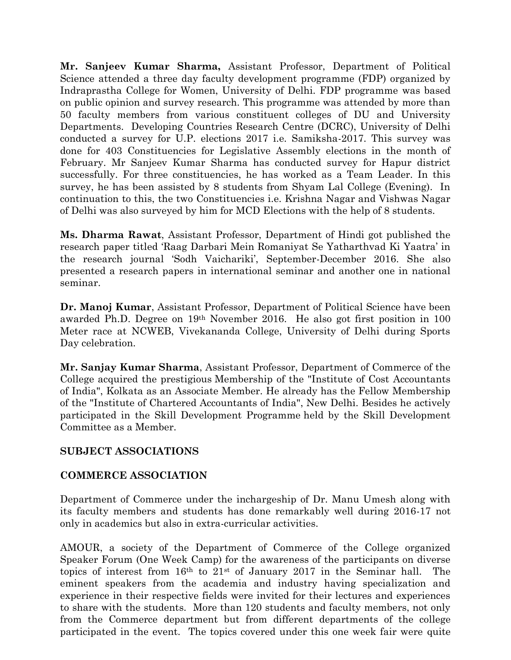**Mr. Sanjeev Kumar Sharma,** Assistant Professor, Department of Political Science attended a three day faculty development programme (FDP) organized by Indraprastha College for Women, University of Delhi. FDP programme was based on public opinion and survey research. This programme was attended by more than 50 faculty members from various constituent colleges of DU and University Departments. Developing Countries Research Centre (DCRC), University of Delhi conducted a survey for U.P. elections 2017 i.e. Samiksha-2017. This survey was done for 403 Constituencies for Legislative Assembly elections in the month of February. Mr Sanjeev Kumar Sharma has conducted survey for Hapur district successfully. For three constituencies, he has worked as a Team Leader. In this survey, he has been assisted by 8 students from Shyam Lal College (Evening). In continuation to this, the two Constituencies i.e. Krishna Nagar and Vishwas Nagar of Delhi was also surveyed by him for MCD Elections with the help of 8 students.

**Ms. Dharma Rawat**, Assistant Professor, Department of Hindi got published the research paper titled 'Raag Darbari Mein Romaniyat Se Yatharthvad Ki Yaatra' in the research journal 'Sodh Vaichariki', September-December 2016. She also presented a research papers in international seminar and another one in national seminar.

**Dr. Manoj Kumar**, Assistant Professor, Department of Political Science have been awarded Ph.D. Degree on 19th November 2016. He also got first position in 100 Meter race at NCWEB, Vivekananda College, University of Delhi during Sports Day celebration.

**Mr. Sanjay Kumar Sharma**, Assistant Professor, Department of Commerce of the College acquired the prestigious Membership of the "Institute of Cost Accountants of India", Kolkata as an Associate Member. He already has the Fellow Membership of the "Institute of Chartered Accountants of India", New Delhi. Besides he actively participated in the Skill Development Programme held by the Skill Development Committee as a Member.

#### **SUBJECT ASSOCIATIONS**

#### **COMMERCE ASSOCIATION**

Department of Commerce under the inchargeship of Dr. Manu Umesh along with its faculty members and students has done remarkably well during 2016-17 not only in academics but also in extra-curricular activities.

AMOUR, a society of the Department of Commerce of the College organized Speaker Forum (One Week Camp) for the awareness of the participants on diverse topics of interest from 16th to 21st of January 2017 in the Seminar hall. The eminent speakers from the academia and industry having specialization and experience in their respective fields were invited for their lectures and experiences to share with the students. More than 120 students and faculty members, not only from the Commerce department but from different departments of the college participated in the event. The topics covered under this one week fair were quite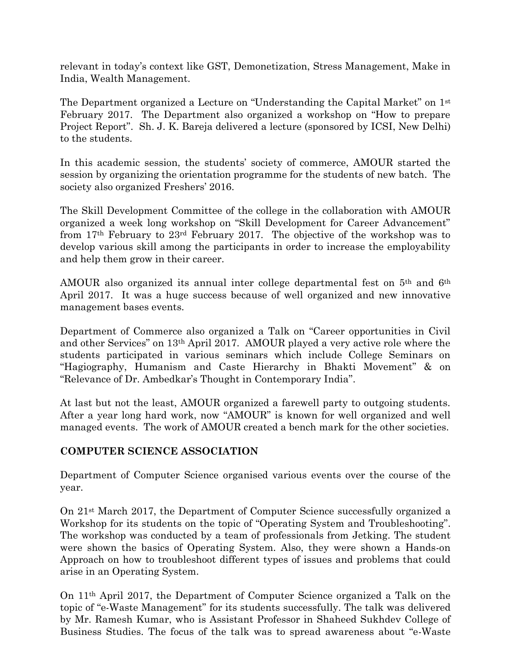relevant in today's context like GST, Demonetization, Stress Management, Make in India, Wealth Management.

The Department organized a Lecture on "Understanding the Capital Market" on 1st February 2017. The Department also organized a workshop on "How to prepare Project Report". Sh. J. K. Bareja delivered a lecture (sponsored by ICSI, New Delhi) to the students.

In this academic session, the students' society of commerce, AMOUR started the session by organizing the orientation programme for the students of new batch. The society also organized Freshers' 2016.

The Skill Development Committee of the college in the collaboration with AMOUR organized a week long workshop on "Skill Development for Career Advancement" from 17th February to 23rd February 2017. The objective of the workshop was to develop various skill among the participants in order to increase the employability and help them grow in their career.

AMOUR also organized its annual inter college departmental fest on 5th and 6th April 2017. It was a huge success because of well organized and new innovative management bases events.

Department of Commerce also organized a Talk on "Career opportunities in Civil and other Services" on 13th April 2017. AMOUR played a very active role where the students participated in various seminars which include College Seminars on "Hagiography, Humanism and Caste Hierarchy in Bhakti Movement" & on "Relevance of Dr. Ambedkar's Thought in Contemporary India".

At last but not the least, AMOUR organized a farewell party to outgoing students. After a year long hard work, now "AMOUR" is known for well organized and well managed events. The work of AMOUR created a bench mark for the other societies.

#### **COMPUTER SCIENCE ASSOCIATION**

Department of Computer Science organised various events over the course of the year.

On 21st March 2017, the Department of Computer Science successfully organized a Workshop for its students on the topic of "Operating System and Troubleshooting". The workshop was conducted by a team of professionals from Jetking. The student were shown the basics of Operating System. Also, they were shown a Hands-on Approach on how to troubleshoot different types of issues and problems that could arise in an Operating System.

On 11th April 2017, the Department of Computer Science organized a Talk on the topic of "e-Waste Management" for its students successfully. The talk was delivered by Mr. Ramesh Kumar, who is Assistant Professor in Shaheed Sukhdev College of Business Studies. The focus of the talk was to spread awareness about "e-Waste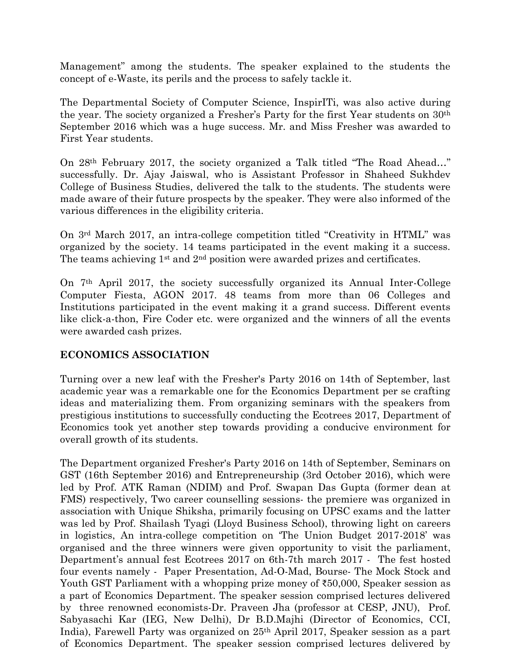Management" among the students. The speaker explained to the students the concept of e-Waste, its perils and the process to safely tackle it.

The Departmental Society of Computer Science, InspirITi, was also active during the year. The society organized a Fresher's Party for the first Year students on 30th September 2016 which was a huge success. Mr. and Miss Fresher was awarded to First Year students.

On 28th February 2017, the society organized a Talk titled "The Road Ahead…" successfully. Dr. Ajay Jaiswal, who is Assistant Professor in Shaheed Sukhdev College of Business Studies, delivered the talk to the students. The students were made aware of their future prospects by the speaker. They were also informed of the various differences in the eligibility criteria.

On 3rd March 2017, an intra-college competition titled "Creativity in HTML" was organized by the society. 14 teams participated in the event making it a success. The teams achieving 1st and 2nd position were awarded prizes and certificates.

On 7th April 2017, the society successfully organized its Annual Inter-College Computer Fiesta, AGON 2017. 48 teams from more than 06 Colleges and Institutions participated in the event making it a grand success. Different events like click-a-thon, Fire Coder etc. were organized and the winners of all the events were awarded cash prizes.

#### **ECONOMICS ASSOCIATION**

Turning over a new leaf with the Fresher's Party 2016 on 14th of September, last academic year was a remarkable one for the Economics Department per se crafting ideas and materializing them. From organizing seminars with the speakers from prestigious institutions to successfully conducting the Ecotrees 2017, Department of Economics took yet another step towards providing a conducive environment for overall growth of its students.

The Department organized Fresher's Party 2016 on 14th of September, Seminars on GST (16th September 2016) and Entrepreneurship (3rd October 2016), which were led by Prof. ATK Raman (NDIM) and Prof. Swapan Das Gupta (former dean at FMS) respectively, Two career counselling sessions- the premiere was organized in association with Unique Shiksha, primarily focusing on UPSC exams and the latter was led by Prof. Shailash Tyagi (Lloyd Business School), throwing light on careers in logistics, An intra-college competition on 'The Union Budget 2017-2018' was organised and the three winners were given opportunity to visit the parliament, Department's annual fest Ecotrees 2017 on 6th-7th march 2017 - The fest hosted four events namely - Paper Presentation, Ad-O-Mad, Bourse- The Mock Stock and Youth GST Parliament with a whopping prize money of ₹50,000, Speaker session as a part of Economics Department. The speaker session comprised lectures delivered by three renowned economists-Dr. Praveen Jha (professor at CESP, JNU), Prof. Sabyasachi Kar (IEG, New Delhi), Dr B.D.Majhi (Director of Economics, CCI, India), Farewell Party was organized on 25th April 2017, Speaker session as a part of Economics Department. The speaker session comprised lectures delivered by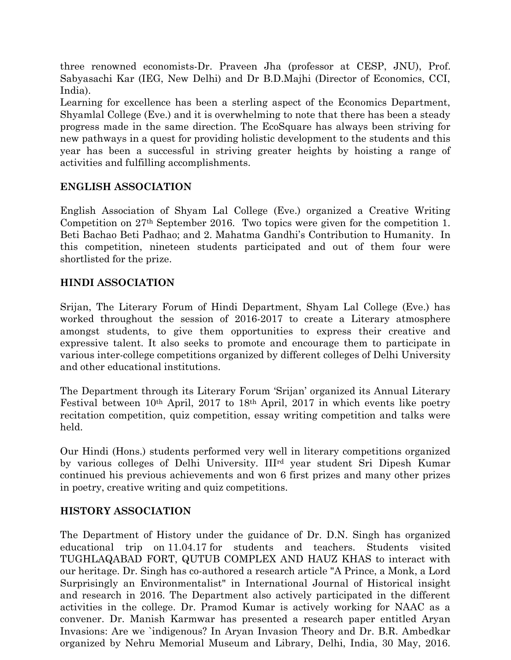three renowned economists-Dr. Praveen Jha (professor at CESP, JNU), Prof. Sabyasachi Kar (IEG, New Delhi) and Dr B.D.Majhi (Director of Economics, CCI, India).

Learning for excellence has been a sterling aspect of the Economics Department, Shyamlal College (Eve.) and it is overwhelming to note that there has been a steady progress made in the same direction. The EcoSquare has always been striving for new pathways in a quest for providing holistic development to the students and this year has been a successful in striving greater heights by hoisting a range of activities and fulfilling accomplishments.

#### **ENGLISH ASSOCIATION**

English Association of Shyam Lal College (Eve.) organized a Creative Writing Competition on 27th September 2016. Two topics were given for the competition 1. Beti Bachao Beti Padhao; and 2. Mahatma Gandhi's Contribution to Humanity. In this competition, nineteen students participated and out of them four were shortlisted for the prize.

#### **HINDI ASSOCIATION**

Srijan, The Literary Forum of Hindi Department, Shyam Lal College (Eve.) has worked throughout the session of 2016-2017 to create a Literary atmosphere amongst students, to give them opportunities to express their creative and expressive talent. It also seeks to promote and encourage them to participate in various inter-college competitions organized by different colleges of Delhi University and other educational institutions.

The Department through its Literary Forum 'Srijan' organized its Annual Literary Festival between 10th April, 2017 to 18th April, 2017 in which events like poetry recitation competition, quiz competition, essay writing competition and talks were held.

Our Hindi (Hons.) students performed very well in literary competitions organized by various colleges of Delhi University. IIIrd year student Sri Dipesh Kumar continued his previous achievements and won 6 first prizes and many other prizes in poetry, creative writing and quiz competitions.

#### **HISTORY ASSOCIATION**

The Department of History under the guidance of Dr. D.N. Singh has organized educational trip on 11.04.17 for students and teachers. Students visited TUGHLAQABAD FORT, QUTUB COMPLEX AND HAUZ KHAS to interact with our heritage. Dr. Singh has co-authored a research article "A Prince, a Monk, a Lord Surprisingly an Environmentalist" in International Journal of Historical insight and research in 2016. The Department also actively participated in the different activities in the college. Dr. Pramod Kumar is actively working for NAAC as a convener. Dr. Manish Karmwar has presented a research paper entitled Aryan Invasions: Are we `indigenous? In Aryan Invasion Theory and Dr. B.R. Ambedkar organized by Nehru Memorial Museum and Library, Delhi, India, 30 May, 2016.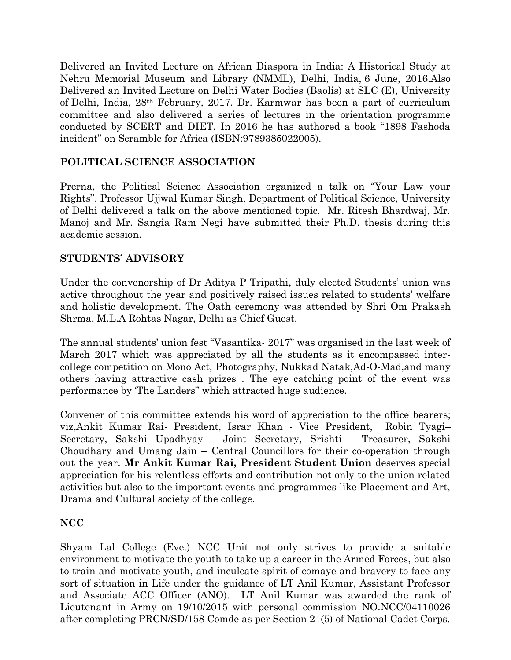Delivered an Invited Lecture on African Diaspora in India: A Historical Study at Nehru Memorial Museum and Library (NMML), Delhi, India, 6 June, 2016.Also Delivered an Invited Lecture on Delhi Water Bodies (Baolis) at SLC (E), University of Delhi, India, 28th February, 2017. Dr. Karmwar has been a part of curriculum committee and also delivered a series of lectures in the orientation programme conducted by SCERT and DIET. In 2016 he has authored a book "1898 Fashoda incident" on Scramble for Africa (ISBN:9789385022005).

#### **POLITICAL SCIENCE ASSOCIATION**

Prerna, the Political Science Association organized a talk on "Your Law your Rights". Professor Ujjwal Kumar Singh, Department of Political Science, University of Delhi delivered a talk on the above mentioned topic. Mr. Ritesh Bhardwaj, Mr. Manoj and Mr. Sangia Ram Negi have submitted their Ph.D. thesis during this academic session.

#### **STUDENTS' ADVISORY**

Under the convenorship of Dr Aditya P Tripathi, duly elected Students' union was active throughout the year and positively raised issues related to students' welfare and holistic development. The Oath ceremony was attended by Shri Om Prakash Shrma, M.L.A Rohtas Nagar, Delhi as Chief Guest.

The annual students' union fest "Vasantika- 2017" was organised in the last week of March 2017 which was appreciated by all the students as it encompassed intercollege competition on Mono Act, Photography, Nukkad Natak,Ad-O-Mad,and many others having attractive cash prizes . The eye catching point of the event was performance by 'The Landers" which attracted huge audience.

Convener of this committee extends his word of appreciation to the office bearers; viz,Ankit Kumar Rai- President, Israr Khan - Vice President, Robin Tyagi– Secretary, Sakshi Upadhyay - Joint Secretary, Srishti - Treasurer, Sakshi Choudhary and Umang Jain – Central Councillors for their co-operation through out the year. **Mr Ankit Kumar Rai, President Student Union** deserves special appreciation for his relentless efforts and contribution not only to the union related activities but also to the important events and programmes like Placement and Art, Drama and Cultural society of the college.

#### **NCC**

Shyam Lal College (Eve.) NCC Unit not only strives to provide a suitable environment to motivate the youth to take up a career in the Armed Forces, but also to train and motivate youth, and inculcate spirit of comaye and bravery to face any sort of situation in Life under the guidance of LT Anil Kumar, Assistant Professor and Associate ACC Officer (ANO). LT Anil Kumar was awarded the rank of Lieutenant in Army on 19/10/2015 with personal commission NO.NCC/04110026 after completing PRCN/SD/158 Comde as per Section 21(5) of National Cadet Corps.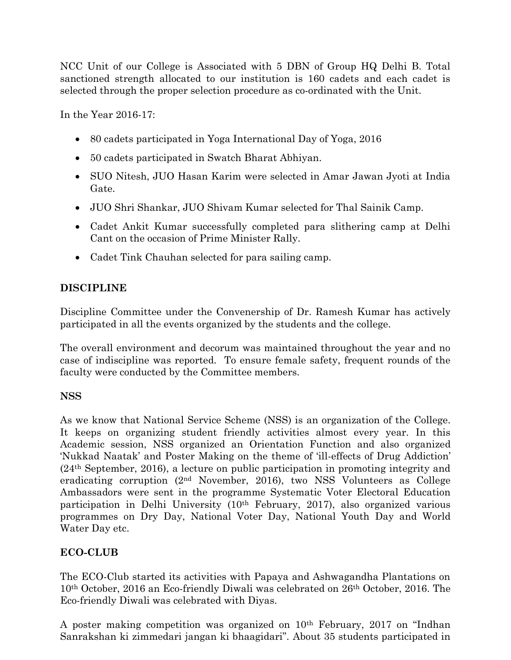NCC Unit of our College is Associated with 5 DBN of Group HQ Delhi B. Total sanctioned strength allocated to our institution is 160 cadets and each cadet is selected through the proper selection procedure as co-ordinated with the Unit.

In the Year 2016-17:

- 80 cadets participated in Yoga International Day of Yoga, 2016
- 50 cadets participated in Swatch Bharat Abhiyan.
- SUO Nitesh, JUO Hasan Karim were selected in Amar Jawan Jyoti at India Gate.
- JUO Shri Shankar, JUO Shivam Kumar selected for Thal Sainik Camp.
- Cadet Ankit Kumar successfully completed para slithering camp at Delhi Cant on the occasion of Prime Minister Rally.
- Cadet Tink Chauhan selected for para sailing camp.

# **DISCIPLINE**

Discipline Committee under the Convenership of Dr. Ramesh Kumar has actively participated in all the events organized by the students and the college.

The overall environment and decorum was maintained throughout the year and no case of indiscipline was reported. To ensure female safety, frequent rounds of the faculty were conducted by the Committee members.

# **NSS**

As we know that National Service Scheme (NSS) is an organization of the College. It keeps on organizing student friendly activities almost every year. In this Academic session, NSS organized an Orientation Function and also organized 'Nukkad Naatak' and Poster Making on the theme of 'ill-effects of Drug Addiction' (24th September, 2016), a lecture on public participation in promoting integrity and eradicating corruption (2nd November, 2016), two NSS Volunteers as College Ambassadors were sent in the programme Systematic Voter Electoral Education participation in Delhi University (10th February, 2017), also organized various programmes on Dry Day, National Voter Day, National Youth Day and World Water Day etc.

# **ECO-CLUB**

The ECO-Club started its activities with Papaya and Ashwagandha Plantations on 10th October, 2016 an Eco-friendly Diwali was celebrated on 26th October, 2016. The Eco-friendly Diwali was celebrated with Diyas.

A poster making competition was organized on  $10<sup>th</sup>$  February, 2017 on "Indhan Sanrakshan ki zimmedari jangan ki bhaagidari". About 35 students participated in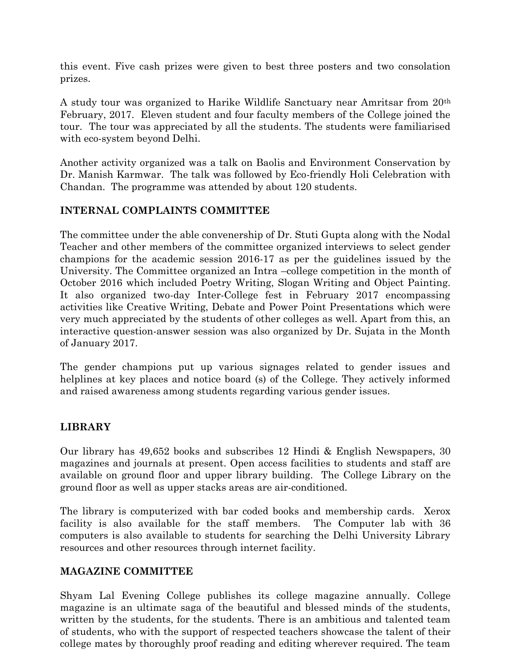this event. Five cash prizes were given to best three posters and two consolation prizes.

A study tour was organized to Harike Wildlife Sanctuary near Amritsar from 20th February, 2017. Eleven student and four faculty members of the College joined the tour. The tour was appreciated by all the students. The students were familiarised with eco-system beyond Delhi.

Another activity organized was a talk on Baolis and Environment Conservation by Dr. Manish Karmwar. The talk was followed by Eco-friendly Holi Celebration with Chandan. The programme was attended by about 120 students.

#### **INTERNAL COMPLAINTS COMMITTEE**

The committee under the able convenership of Dr. Stuti Gupta along with the Nodal Teacher and other members of the committee organized interviews to select gender champions for the academic session 2016-17 as per the guidelines issued by the University. The Committee organized an Intra –college competition in the month of October 2016 which included Poetry Writing, Slogan Writing and Object Painting. It also organized two-day Inter-College fest in February 2017 encompassing activities like Creative Writing, Debate and Power Point Presentations which were very much appreciated by the students of other colleges as well. Apart from this, an interactive question-answer session was also organized by Dr. Sujata in the Month of January 2017.

The gender champions put up various signages related to gender issues and helplines at key places and notice board (s) of the College. They actively informed and raised awareness among students regarding various gender issues.

#### **LIBRARY**

Our library has 49,652 books and subscribes 12 Hindi & English Newspapers, 30 magazines and journals at present. Open access facilities to students and staff are available on ground floor and upper library building. The College Library on the ground floor as well as upper stacks areas are air-conditioned.

The library is computerized with bar coded books and membership cards. Xerox facility is also available for the staff members. The Computer lab with 36 computers is also available to students for searching the Delhi University Library resources and other resources through internet facility.

#### **MAGAZINE COMMITTEE**

Shyam Lal Evening College publishes its college magazine annually. College magazine is an ultimate saga of the beautiful and blessed minds of the students, written by the students, for the students. There is an ambitious and talented team of students, who with the support of respected teachers showcase the talent of their college mates by thoroughly proof reading and editing wherever required. The team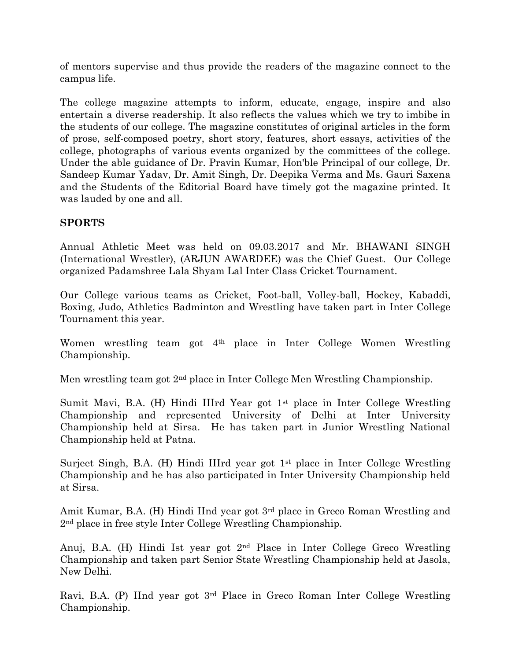of mentors supervise and thus provide the readers of the magazine connect to the campus life.

The college magazine attempts to inform, educate, engage, inspire and also entertain a diverse readership. It also reflects the values which we try to imbibe in the students of our college. The magazine constitutes of original articles in the form of prose, self-composed poetry, short story, features, short essays, activities of the college, photographs of various events organized by the committees of the college. Under the able guidance of Dr. Pravin Kumar, Hon'ble Principal of our college, Dr. Sandeep Kumar Yadav, Dr. Amit Singh, Dr. Deepika Verma and Ms. Gauri Saxena and the Students of the Editorial Board have timely got the magazine printed. It was lauded by one and all.

#### **SPORTS**

Annual Athletic Meet was held on 09.03.2017 and Mr. BHAWANI SINGH (International Wrestler), (ARJUN AWARDEE) was the Chief Guest. Our College organized Padamshree Lala Shyam Lal Inter Class Cricket Tournament.

Our College various teams as Cricket, Foot-ball, Volley-ball, Hockey, Kabaddi, Boxing, Judo, Athletics Badminton and Wrestling have taken part in Inter College Tournament this year.

Women wrestling team got 4<sup>th</sup> place in Inter College Women Wrestling Championship.

Men wrestling team got 2nd place in Inter College Men Wrestling Championship.

Sumit Mavi, B.A. (H) Hindi IIIrd Year got 1st place in Inter College Wrestling Championship and represented University of Delhi at Inter University Championship held at Sirsa. He has taken part in Junior Wrestling National Championship held at Patna.

Surjeet Singh, B.A. (H) Hindi IIIrd year got 1st place in Inter College Wrestling Championship and he has also participated in Inter University Championship held at Sirsa.

Amit Kumar, B.A. (H) Hindi IInd year got 3rd place in Greco Roman Wrestling and 2nd place in free style Inter College Wrestling Championship.

Anuj, B.A. (H) Hindi Ist year got 2nd Place in Inter College Greco Wrestling Championship and taken part Senior State Wrestling Championship held at Jasola, New Delhi.

Ravi, B.A. (P) IInd year got 3rd Place in Greco Roman Inter College Wrestling Championship.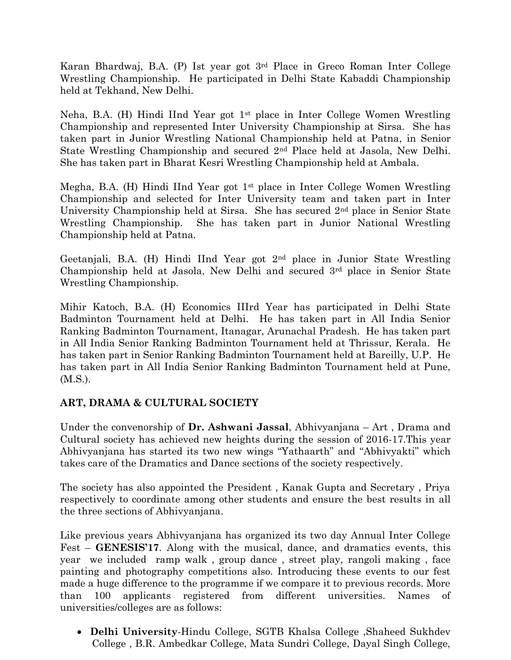Karan Bhardwaj, B.A. (P) Ist year got 3rd Place in Greco Roman Inter College Wrestling Championship. He participated in Delhi State Kabaddi Championship held at Tekhand, New Delhi.

Neha, B.A. (H) Hindi IInd Year got  $1<sup>st</sup>$  place in Inter College Women Wrestling Championship and represented Inter University Championship at Sirsa. She has taken part in Junior Wrestling National Championship held at Patna, in Senior State Wrestling Championship and secured 2nd Place held at Jasola, New Delhi. She has taken part in Bharat Kesri Wrestling Championship held at Ambala.

Megha, B.A.  $(H)$  Hindi IInd Year got  $1<sup>st</sup>$  place in Inter College Women Wrestling Championship and selected for Inter University team and taken part in Inter University Championship held at Sirsa. She has secured 2nd place in Senior State Wrestling Championship. She has taken part in Junior National Wrestling Championship held at Patna.

Geetanjali, B.A. (H) Hindi IInd Year got 2nd place in Junior State Wrestling Championship held at Jasola, New Delhi and secured 3rd place in Senior State Wrestling Championship.

Mihir Katoch, B.A. (H) Economics IIIrd Year has participated in Delhi State Badminton Tournament held at Delhi. He has taken part in All India Senior Ranking Badminton Tournament, Itanagar, Arunachal Pradesh. He has taken part in All India Senior Ranking Badminton Tournament held at Thrissur, Kerala. He has taken part in Senior Ranking Badminton Tournament held at Bareilly, U.P. He has taken part in All India Senior Ranking Badminton Tournament held at Pune, (M.S.).

#### **ART, DRAMA & CULTURAL SOCIETY**

Under the convenorship of **Dr. Ashwani Jassal**, Abhivyanjana – Art , Drama and Cultural society has achieved new heights during the session of 2016-17.This year Abhivyanjana has started its two new wings "Yathaarth" and "Abhivyakti" which takes care of the Dramatics and Dance sections of the society respectively.

The society has also appointed the President , Kanak Gupta and Secretary , Priya respectively to coordinate among other students and ensure the best results in all the three sections of Abhivyanjana.

Like previous years Abhivyanjana has organized its two day Annual Inter College Fest – **GENESIS'17**. Along with the musical, dance, and dramatics events, this year we included ramp walk , group dance , street play, rangoli making , face painting and photography competitions also. Introducing these events to our fest made a huge difference to the programme if we compare it to previous records. More than 100 applicants registered from different universities. Names of universities/colleges are as follows:

• **Delhi University**-Hindu College, SGTB Khalsa College ,Shaheed Sukhdev College , B.R. Ambedkar College, Mata Sundri College, Dayal Singh College,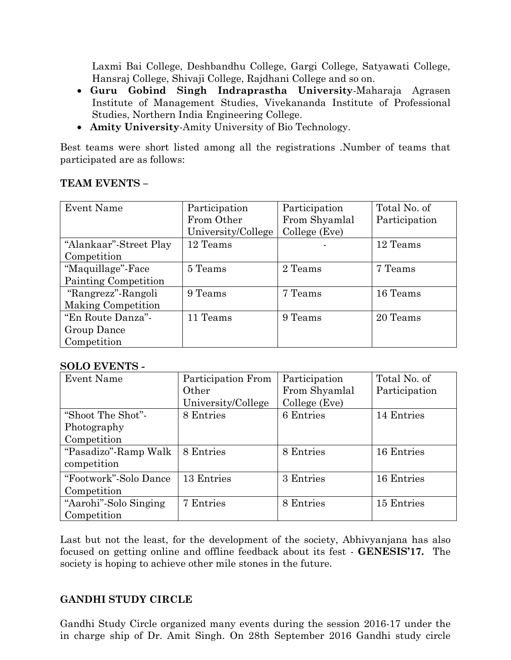Laxmi Bai College, Deshbandhu College, Gargi College, Satyawati College, Hansraj College, Shivaji College, Rajdhani College and so on.

- **Guru Gobind Singh Indraprastha University**-Maharaja Agrasen Institute of Management Studies, Vivekananda Institute of Professional Studies, Northern India Engineering College.
- **Amity University**-Amity University of Bio Technology.

Best teams were short listed among all the registrations .Number of teams that participated are as follows:

#### **TEAM EVENTS –**

| Event Name             | Participation      | Participation | Total No. of  |
|------------------------|--------------------|---------------|---------------|
|                        | From Other         | From Shyamlal | Participation |
|                        | University/College | College (Eve) |               |
| "Alankaar"-Street Play | 12 Teams           |               | 12 Teams      |
| Competition            |                    |               |               |
| "Maquillage"-Face      | 5 Teams            | 2 Teams       | 7 Teams       |
| Painting Competition   |                    |               |               |
| "Rangrezz"-Rangoli     | 9 Teams            | 7 Teams       | 16 Teams      |
| Making Competition     |                    |               |               |
| "En Route Danza"-      | 11 Teams           | 9 Teams       | 20 Teams      |
| Group Dance            |                    |               |               |
| Competition            |                    |               |               |

#### **SOLO EVENTS -**

| Event Name            | Participation From | Participation | Total No. of  |
|-----------------------|--------------------|---------------|---------------|
|                       | Other              | From Shyamlal | Participation |
|                       | University/College | College (Eve) |               |
| "Shoot The Shot"-     | 8 Entries          | 6 Entries     | 14 Entries    |
| Photography           |                    |               |               |
| Competition           |                    |               |               |
| "Pasadizo"-Ramp Walk  | 8 Entries          | 8 Entries     | 16 Entries    |
| competition           |                    |               |               |
| "Footwork"-Solo Dance | 13 Entries         | 3 Entries     | 16 Entries    |
| Competition           |                    |               |               |
| "Aarohi"-Solo Singing | 7 Entries          | 8 Entries     | 15 Entries    |
| Competition           |                    |               |               |

Last but not the least, for the development of the society, Abhivyanjana has also focused on getting online and offline feedback about its fest - **GENESIS'17.** The society is hoping to achieve other mile stones in the future.

#### **GANDHI STUDY CIRCLE**

Gandhi Study Circle organized many events during the session 2016-17 under the in charge ship of Dr. Amit Singh. On 28th September 2016 Gandhi study circle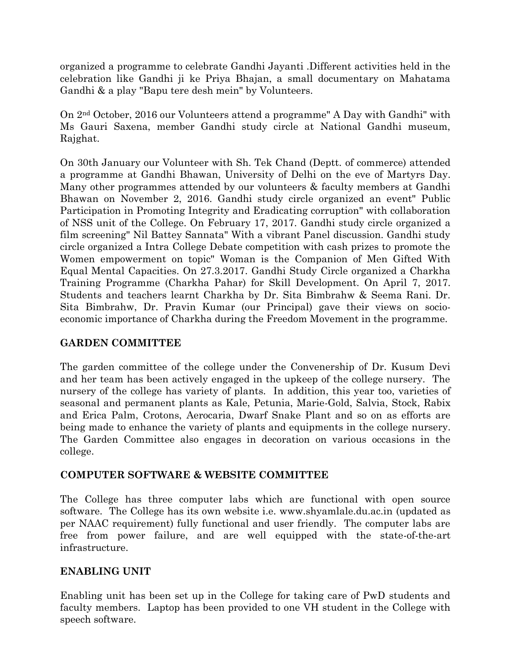organized a programme to celebrate Gandhi Jayanti .Different activities held in the celebration like Gandhi ji ke Priya Bhajan, a small documentary on Mahatama Gandhi & a play "Bapu tere desh mein" by Volunteers.

On 2nd October, 2016 our Volunteers attend a programme" A Day with Gandhi" with Ms Gauri Saxena, member Gandhi study circle at National Gandhi museum, Rajghat.

On 30th January our Volunteer with Sh. Tek Chand (Deptt. of commerce) attended a programme at Gandhi Bhawan, University of Delhi on the eve of Martyrs Day. Many other programmes attended by our volunteers & faculty members at Gandhi Bhawan on November 2, 2016. Gandhi study circle organized an event" Public Participation in Promoting Integrity and Eradicating corruption" with collaboration of NSS unit of the College. On February 17, 2017. Gandhi study circle organized a film screening" Nil Battey Sannata" With a vibrant Panel discussion. Gandhi study circle organized a Intra College Debate competition with cash prizes to promote the Women empowerment on topic" Woman is the Companion of Men Gifted With Equal Mental Capacities. On 27.3.2017. Gandhi Study Circle organized a Charkha Training Programme (Charkha Pahar) for Skill Development. On April 7, 2017. Students and teachers learnt Charkha by Dr. Sita Bimbrahw & Seema Rani. Dr. Sita Bimbrahw, Dr. Pravin Kumar (our Principal) gave their views on socioeconomic importance of Charkha during the Freedom Movement in the programme.

#### **GARDEN COMMITTEE**

The garden committee of the college under the Convenership of Dr. Kusum Devi and her team has been actively engaged in the upkeep of the college nursery. The nursery of the college has variety of plants. In addition, this year too, varieties of seasonal and permanent plants as Kale, Petunia, Marie-Gold, Salvia, Stock, Rabix and Erica Palm, Crotons, Aerocaria, Dwarf Snake Plant and so on as efforts are being made to enhance the variety of plants and equipments in the college nursery. The Garden Committee also engages in decoration on various occasions in the college.

#### **COMPUTER SOFTWARE & WEBSITE COMMITTEE**

The College has three computer labs which are functional with open source software. The College has its own website i.e. [www.shyamlale.du.ac.in](http://www.shyamlale.du.ac.in/) (updated as per NAAC requirement) fully functional and user friendly. The computer labs are free from power failure, and are well equipped with the state-of-the-art infrastructure.

#### **ENABLING UNIT**

Enabling unit has been set up in the College for taking care of PwD students and faculty members. Laptop has been provided to one VH student in the College with speech software.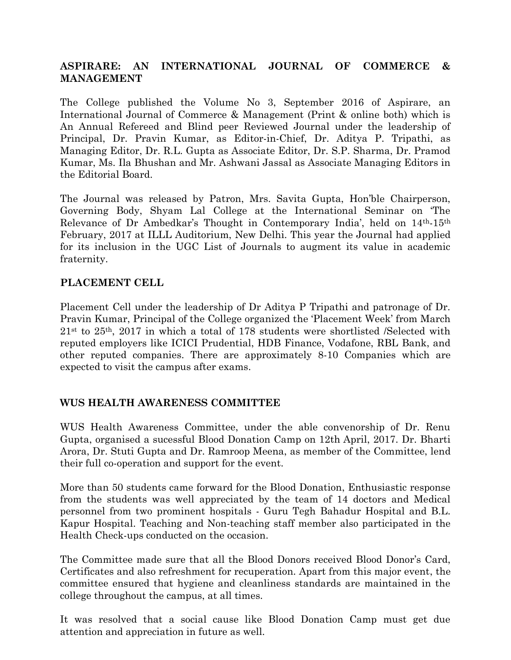#### **ASPIRARE: AN INTERNATIONAL JOURNAL OF COMMERCE & MANAGEMENT**

The College published the Volume No 3, September 2016 of Aspirare, an International Journal of Commerce & Management (Print & online both) which is An Annual Refereed and Blind peer Reviewed Journal under the leadership of Principal, Dr. Pravin Kumar, as Editor-in-Chief, Dr. Aditya P. Tripathi, as Managing Editor, Dr. R.L. Gupta as Associate Editor, Dr. S.P. Sharma, Dr. Pramod Kumar, Ms. Ila Bhushan and Mr. Ashwani Jassal as Associate Managing Editors in the Editorial Board.

The Journal was released by Patron, Mrs. Savita Gupta, Hon'ble Chairperson, Governing Body, Shyam Lal College at the International Seminar on 'The Relevance of Dr Ambedkar's Thought in Contemporary India', held on 14th-15th February, 2017 at ILLL Auditorium, New Delhi. This year the Journal had applied for its inclusion in the UGC List of Journals to augment its value in academic fraternity.

#### **PLACEMENT CELL**

Placement Cell under the leadership of Dr Aditya P Tripathi and patronage of Dr. Pravin Kumar, Principal of the College organized the 'Placement Week' from March  $21<sup>st</sup>$  to  $25<sup>th</sup>$ ,  $2017$  in which a total of 178 students were shortlisted /Selected with reputed employers like ICICI Prudential, HDB Finance, Vodafone, RBL Bank, and other reputed companies. There are approximately 8-10 Companies which are expected to visit the campus after exams.

#### **WUS HEALTH AWARENESS COMMITTEE**

WUS Health Awareness Committee, under the able convenorship of Dr. Renu Gupta, organised a sucessful Blood Donation Camp on 12th April, 2017. Dr. Bharti Arora, Dr. Stuti Gupta and Dr. Ramroop Meena, as member of the Committee, lend their full co-operation and support for the event.

More than 50 students came forward for the Blood Donation, Enthusiastic response from the students was well appreciated by the team of 14 doctors and Medical personnel from two prominent hospitals - Guru Tegh Bahadur Hospital and B.L. Kapur Hospital. Teaching and Non-teaching staff member also participated in the Health Check-ups conducted on the occasion.

The Committee made sure that all the Blood Donors received Blood Donor's Card, Certificates and also refreshment for recuperation. Apart from this major event, the committee ensured that hygiene and cleanliness standards are maintained in the college throughout the campus, at all times.

It was resolved that a social cause like Blood Donation Camp must get due attention and appreciation in future as well.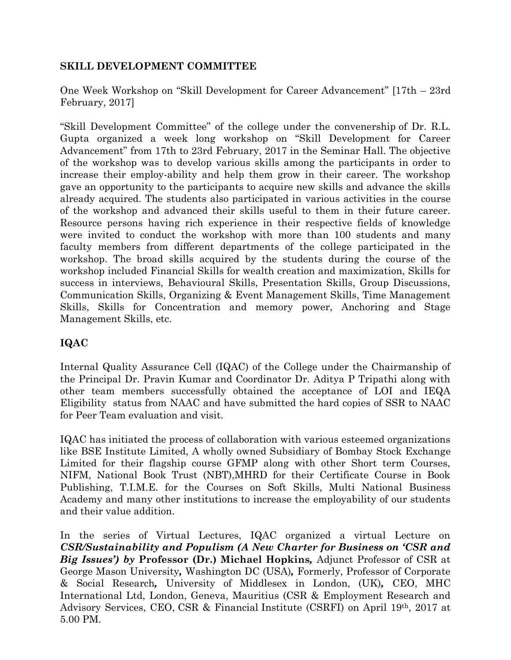#### **SKILL DEVELOPMENT COMMITTEE**

One Week Workshop on "Skill Development for Career Advancement" [17th – 23rd February, 2017]

"Skill Development Committee" of the college under the convenership of Dr. R.L. Gupta organized a week long workshop on "Skill Development for Career Advancement" from 17th to 23rd February, 2017 in the Seminar Hall. The objective of the workshop was to develop various skills among the participants in order to increase their employ-ability and help them grow in their career. The workshop gave an opportunity to the participants to acquire new skills and advance the skills already acquired. The students also participated in various activities in the course of the workshop and advanced their skills useful to them in their future career. Resource persons having rich experience in their respective fields of knowledge were invited to conduct the workshop with more than 100 students and many faculty members from different departments of the college participated in the workshop. The broad skills acquired by the students during the course of the workshop included Financial Skills for wealth creation and maximization, Skills for success in interviews, Behavioural Skills, Presentation Skills, Group Discussions, Communication Skills, Organizing & Event Management Skills, Time Management Skills, Skills for Concentration and memory power, Anchoring and Stage Management Skills, etc.

# **IQAC**

Internal Quality Assurance Cell (IQAC) of the College under the Chairmanship of the Principal Dr. Pravin Kumar and Coordinator Dr. Aditya P Tripathi along with other team members successfully obtained the acceptance of LOI and IEQA Eligibility status from NAAC and have submitted the hard copies of SSR to NAAC for Peer Team evaluation and visit.

IQAC has initiated the process of collaboration with various esteemed organizations like BSE Institute Limited, A wholly owned Subsidiary of Bombay Stock Exchange Limited for their flagship course GFMP along with other Short term Courses, NIFM, National Book Trust (NBT),MHRD for their Certificate Course in Book Publishing, T.I.M.E. for the Courses on Soft Skills, Multi National Business Academy and many other institutions to increase the employability of our students and their value addition.

In the series of Virtual Lectures, IQAC organized a virtual Lecture on *CSR/Sustainability and Populism (A New Charter for Business on 'CSR and Big Issues') by* **Professor (Dr.) Michael Hopkins***,* Adjunct Professor of CSR at George Mason University*,* Washington DC (USA)*,* Formerly, Professor of Corporate & Social Research*,* University of Middlesex in London, (UK)*,* CEO, MHC International Ltd, London, Geneva, Mauritius (CSR & Employment Research and Advisory Services, CEO, CSR & Financial Institute (CSRFI) on April 19th, 2017 at 5.00 PM.